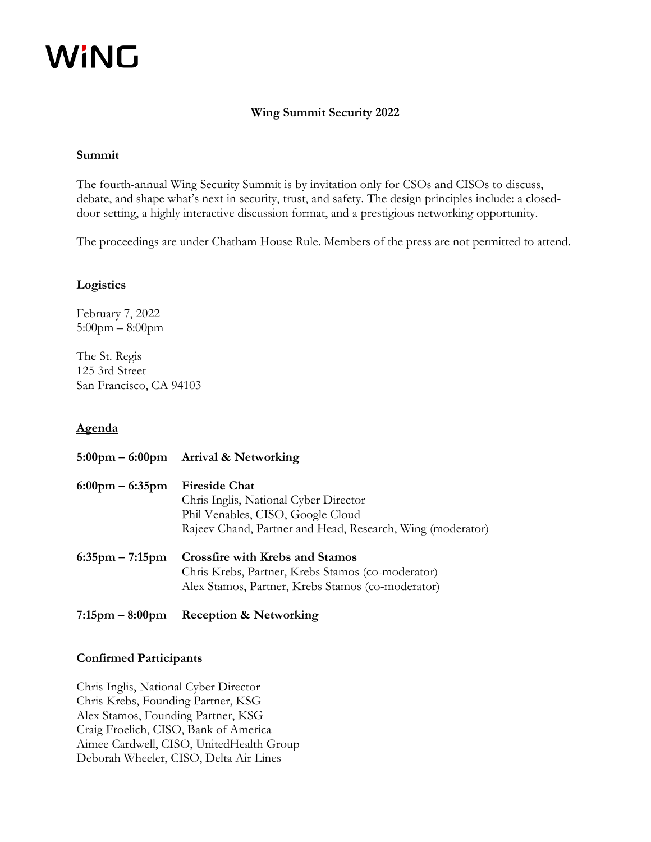# WiNG

## **Wing Summit Security 2022**

## **Summit**

The fourth-annual Wing Security Summit is by invitation only for CSOs and CISOs to discuss, debate, and shape what's next in security, trust, and safety. The design principles include: a closeddoor setting, a highly interactive discussion format, and a prestigious networking opportunity.

The proceedings are under Chatham House Rule. Members of the press are not permitted to attend.

## **Logistics**

February 7, 2022 5:00pm – 8:00pm

The St. Regis 125 3rd Street San Francisco, CA 94103

## **Agenda**

|                                   | 5:00pm – 6:00pm Arrival & Networking                                                                                                                             |
|-----------------------------------|------------------------------------------------------------------------------------------------------------------------------------------------------------------|
| $6:00 \text{pm} - 6:35 \text{pm}$ | <b>Fireside Chat</b><br>Chris Inglis, National Cyber Director<br>Phil Venables, CISO, Google Cloud<br>Rajeev Chand, Partner and Head, Research, Wing (moderator) |
| $6:35$ pm – 7:15pm                | <b>Crossfire with Krebs and Stamos</b><br>Chris Krebs, Partner, Krebs Stamos (co-moderator)<br>Alex Stamos, Partner, Krebs Stamos (co-moderator)                 |

**7:15pm – 8:00pm Reception & Networking** 

## **Confirmed Participants**

Chris Inglis, National Cyber Director Chris Krebs, Founding Partner, KSG Alex Stamos, Founding Partner, KSG Craig Froelich, CISO, Bank of America Aimee Cardwell, CISO, UnitedHealth Group Deborah Wheeler, CISO, Delta Air Lines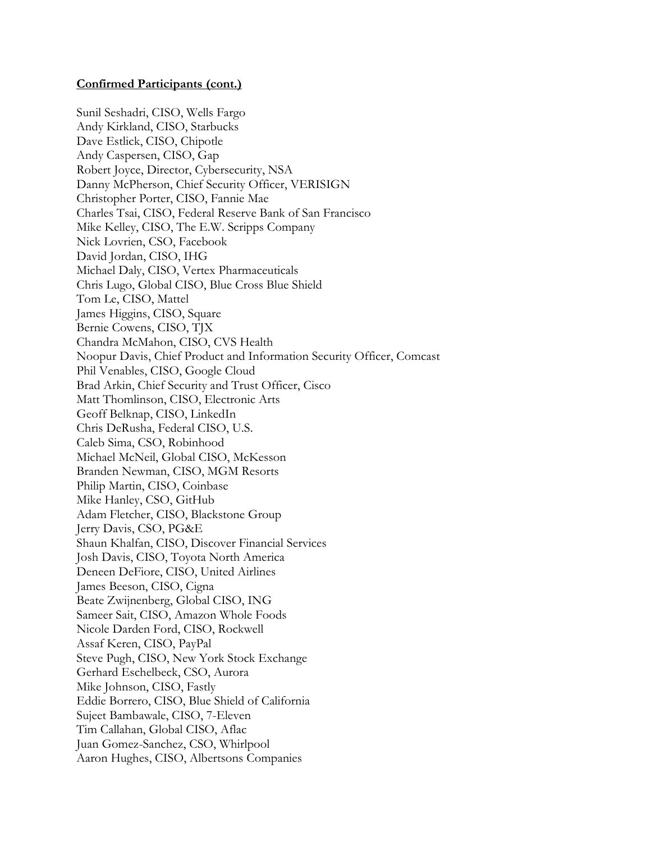Sunil Seshadri, CISO, Wells Fargo Andy Kirkland, CISO, Starbucks Dave Estlick, CISO, Chipotle Andy Caspersen, CISO, Gap Robert Joyce, Director, Cybersecurity, NSA Danny McPherson, Chief Security Officer, VERISIGN Christopher Porter, CISO, Fannie Mae Charles Tsai, CISO, Federal Reserve Bank of San Francisco Mike Kelley, CISO, The E.W. Scripps Company Nick Lovrien, CSO, Facebook David Jordan, CISO, IHG Michael Daly, CISO, Vertex Pharmaceuticals Chris Lugo, Global CISO, Blue Cross Blue Shield Tom Le, CISO, Mattel James Higgins, CISO, Square Bernie Cowens, CISO, TJX Chandra McMahon, CISO, CVS Health Noopur Davis, Chief Product and Information Security Officer, Comcast Phil Venables, CISO, Google Cloud Brad Arkin, Chief Security and Trust Officer, Cisco Matt Thomlinson, CISO, Electronic Arts Geoff Belknap, CISO, LinkedIn Chris DeRusha, Federal CISO, U.S. Caleb Sima, CSO, Robinhood Michael McNeil, Global CISO, McKesson Branden Newman, CISO, MGM Resorts Philip Martin, CISO, Coinbase Mike Hanley, CSO, GitHub Adam Fletcher, CISO, Blackstone Group Jerry Davis, CSO, PG&E Shaun Khalfan, CISO, Discover Financial Services Josh Davis, CISO, Toyota North America Deneen DeFiore, CISO, United Airlines James Beeson, CISO, Cigna Beate Zwijnenberg, Global CISO, ING Sameer Sait, CISO, Amazon Whole Foods Nicole Darden Ford, CISO, Rockwell Assaf Keren, CISO, PayPal Steve Pugh, CISO, New York Stock Exchange Gerhard Eschelbeck, CSO, Aurora Mike Johnson, CISO, Fastly Eddie Borrero, CISO, Blue Shield of California Sujeet Bambawale, CISO, 7-Eleven Tim Callahan, Global CISO, Aflac Juan Gomez-Sanchez, CSO, Whirlpool Aaron Hughes, CISO, Albertsons Companies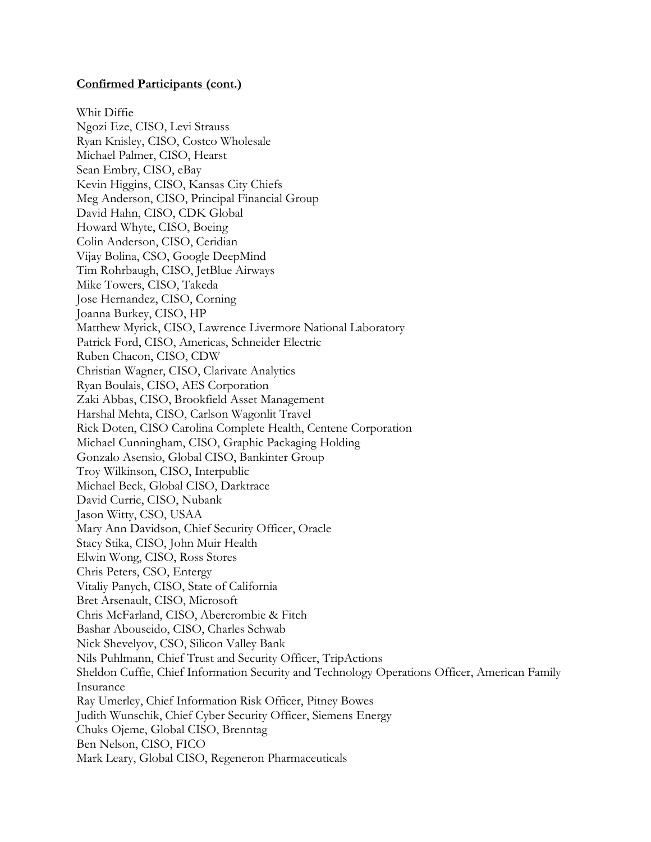Whit Diffie Ngozi Eze, CISO, Levi Strauss Ryan Knisley, CISO, Costco Wholesale Michael Palmer, CISO, Hearst Sean Embry, CISO, eBay Kevin Higgins, CISO, Kansas City Chiefs Meg Anderson, CISO, Principal Financial Group David Hahn, CISO, CDK Global Howard Whyte, CISO, Boeing Colin Anderson, CISO, Ceridian Vijay Bolina, CSO, Google DeepMind Tim Rohrbaugh, CISO, JetBlue Airways Mike Towers, CISO, Takeda Jose Hernandez, CISO, Corning Joanna Burkey, CISO, HP Matthew Myrick, CISO, Lawrence Livermore National Laboratory Patrick Ford, CISO, Americas, Schneider Electric Ruben Chacon, CISO, CDW Christian Wagner, CISO, Clarivate Analytics Ryan Boulais, CISO, AES Corporation Zaki Abbas, CISO, Brookfield Asset Management Harshal Mehta, CISO, Carlson Wagonlit Travel Rick Doten, CISO Carolina Complete Health, Centene Corporation Michael Cunningham, CISO, Graphic Packaging Holding Gonzalo Asensio, Global CISO, Bankinter Group Troy Wilkinson, CISO, Interpublic Michael Beck, Global CISO, Darktrace David Currie, CISO, Nubank Jason Witty, CSO, USAA Mary Ann Davidson, Chief Security Officer, Oracle Stacy Stika, CISO, John Muir Health Elwin Wong, CISO, Ross Stores Chris Peters, CSO, Entergy Vitaliy Panych, CISO, State of California Bret Arsenault, CISO, Microsoft Chris McFarland, CISO, Abercrombie & Fitch Bashar Abouseido, CISO, Charles Schwab Nick Shevelyov, CSO, Silicon Valley Bank Nils Puhlmann, Chief Trust and Security Officer, TripActions Sheldon Cuffie, Chief Information Security and Technology Operations Officer, American Family Insurance Ray Umerley, Chief Information Risk Officer, Pitney Bowes Judith Wunschik, Chief Cyber Security Officer, Siemens Energy Chuks Ojeme, Global CISO, Brenntag Ben Nelson, CISO, FICO Mark Leary, Global CISO, Regeneron Pharmaceuticals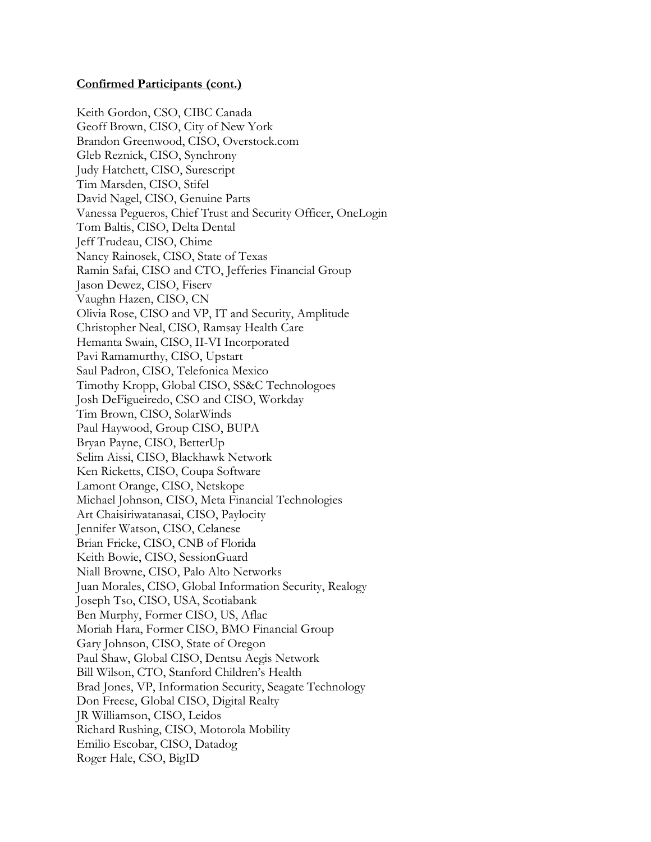Keith Gordon, CSO, CIBC Canada Geoff Brown, CISO, City of New York Brandon Greenwood, CISO, Overstock.com Gleb Reznick, CISO, Synchrony Judy Hatchett, CISO, Surescript Tim Marsden, CISO, Stifel David Nagel, CISO, Genuine Parts Vanessa Pegueros, Chief Trust and Security Officer, OneLogin Tom Baltis, CISO, Delta Dental Jeff Trudeau, CISO, Chime Nancy Rainosek, CISO, State of Texas Ramin Safai, CISO and CTO, Jefferies Financial Group Jason Dewez, CISO, Fiserv Vaughn Hazen, CISO, CN Olivia Rose, CISO and VP, IT and Security, Amplitude Christopher Neal, CISO, Ramsay Health Care Hemanta Swain, CISO, II-VI Incorporated Pavi Ramamurthy, CISO, Upstart Saul Padron, CISO, Telefonica Mexico Timothy Kropp, Global CISO, SS&C Technologoes Josh DeFigueiredo, CSO and CISO, Workday Tim Brown, CISO, SolarWinds Paul Haywood, Group CISO, BUPA Bryan Payne, CISO, BetterUp Selim Aissi, CISO, Blackhawk Network Ken Ricketts, CISO, Coupa Software Lamont Orange, CISO, Netskope Michael Johnson, CISO, Meta Financial Technologies Art Chaisiriwatanasai, CISO, Paylocity Jennifer Watson, CISO, Celanese Brian Fricke, CISO, CNB of Florida Keith Bowie, CISO, SessionGuard Niall Browne, CISO, Palo Alto Networks Juan Morales, CISO, Global Information Security, Realogy Joseph Tso, CISO, USA, Scotiabank Ben Murphy, Former CISO, US, Aflac Moriah Hara, Former CISO, BMO Financial Group Gary Johnson, CISO, State of Oregon Paul Shaw, Global CISO, Dentsu Aegis Network Bill Wilson, CTO, Stanford Children's Health Brad Jones, VP, Information Security, Seagate Technology Don Freese, Global CISO, Digital Realty JR Williamson, CISO, Leidos Richard Rushing, CISO, Motorola Mobility Emilio Escobar, CISO, Datadog Roger Hale, CSO, BigID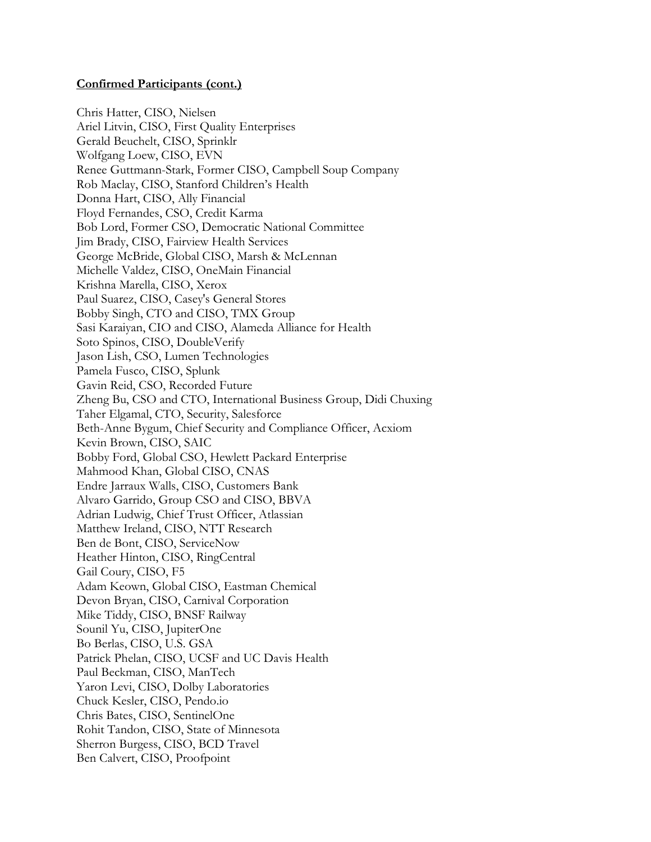Chris Hatter, CISO, Nielsen Ariel Litvin, CISO, First Quality Enterprises Gerald Beuchelt, CISO, Sprinklr Wolfgang Loew, CISO, EVN Renee Guttmann-Stark, Former CISO, Campbell Soup Company Rob Maclay, CISO, Stanford Children's Health Donna Hart, CISO, Ally Financial Floyd Fernandes, CSO, Credit Karma Bob Lord, Former CSO, Democratic National Committee Jim Brady, CISO, Fairview Health Services George McBride, Global CISO, Marsh & McLennan Michelle Valdez, CISO, OneMain Financial Krishna Marella, CISO, Xerox Paul Suarez, CISO, Casey's General Stores Bobby Singh, CTO and CISO, TMX Group Sasi Karaiyan, CIO and CISO, Alameda Alliance for Health Soto Spinos, CISO, DoubleVerify Jason Lish, CSO, Lumen Technologies Pamela Fusco, CISO, Splunk Gavin Reid, CSO, Recorded Future Zheng Bu, CSO and CTO, International Business Group, Didi Chuxing Taher Elgamal, CTO, Security, Salesforce Beth-Anne Bygum, Chief Security and Compliance Officer, Acxiom Kevin Brown, CISO, SAIC Bobby Ford, Global CSO, Hewlett Packard Enterprise Mahmood Khan, Global CISO, CNAS Endre Jarraux Walls, CISO, Customers Bank Alvaro Garrido, Group CSO and CISO, BBVA Adrian Ludwig, Chief Trust Officer, Atlassian Matthew Ireland, CISO, NTT Research Ben de Bont, CISO, ServiceNow Heather Hinton, CISO, RingCentral Gail Coury, CISO, F5 Adam Keown, Global CISO, Eastman Chemical Devon Bryan, CISO, Carnival Corporation Mike Tiddy, CISO, BNSF Railway Sounil Yu, CISO, JupiterOne Bo Berlas, CISO, U.S. GSA Patrick Phelan, CISO, UCSF and UC Davis Health Paul Beckman, CISO, ManTech Yaron Levi, CISO, Dolby Laboratories Chuck Kesler, CISO, Pendo.io Chris Bates, CISO, SentinelOne Rohit Tandon, CISO, State of Minnesota Sherron Burgess, CISO, BCD Travel Ben Calvert, CISO, Proofpoint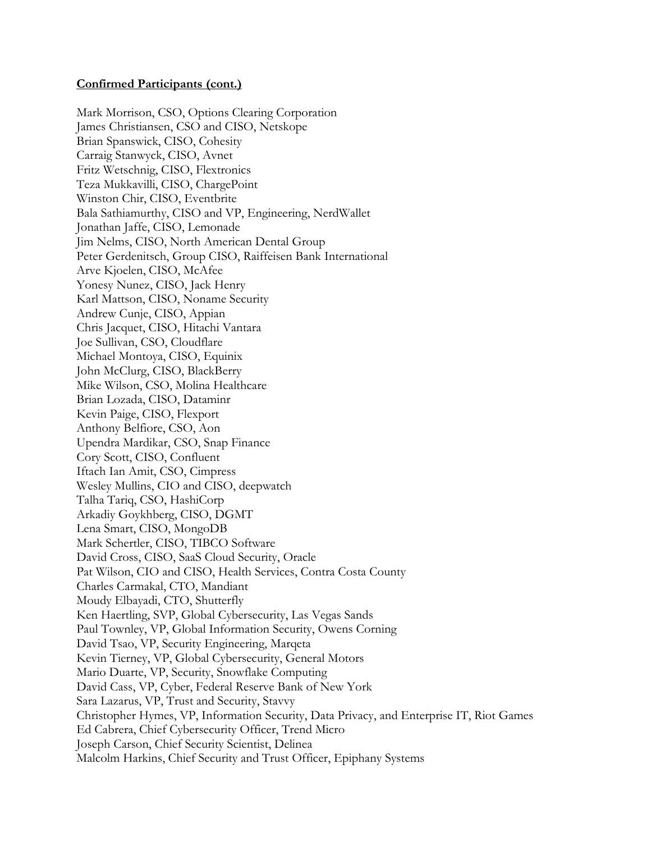Mark Morrison, CSO, Options Clearing Corporation James Christiansen, CSO and CISO, Netskope Brian Spanswick, CISO, Cohesity Carraig Stanwyck, CISO, Avnet Fritz Wetschnig, CISO, Flextronics Teza Mukkavilli, CISO, ChargePoint Winston Chir, CISO, Eventbrite Bala Sathiamurthy, CISO and VP, Engineering, NerdWallet Jonathan Jaffe, CISO, Lemonade Jim Nelms, CISO, North American Dental Group Peter Gerdenitsch, Group CISO, Raiffeisen Bank International Arve Kjoelen, CISO, McAfee Yonesy Nunez, CISO, Jack Henry Karl Mattson, CISO, Noname Security Andrew Cunje, CISO, Appian Chris Jacquet, CISO, Hitachi Vantara Joe Sullivan, CSO, Cloudflare Michael Montoya, CISO, Equinix John McClurg, CISO, BlackBerry Mike Wilson, CSO, Molina Healthcare Brian Lozada, CISO, Dataminr Kevin Paige, CISO, Flexport Anthony Belfiore, CSO, Aon Upendra Mardikar, CSO, Snap Finance Cory Scott, CISO, Confluent Iftach Ian Amit, CSO, Cimpress Wesley Mullins, CIO and CISO, deepwatch Talha Tariq, CSO, HashiCorp Arkadiy Goykhberg, CISO, DGMT Lena Smart, CISO, MongoDB Mark Schertler, CISO, TIBCO Software David Cross, CISO, SaaS Cloud Security, Oracle Pat Wilson, CIO and CISO, Health Services, Contra Costa County Charles Carmakal, CTO, Mandiant Moudy Elbayadi, CTO, Shutterfly Ken Haertling, SVP, Global Cybersecurity, Las Vegas Sands Paul Townley, VP, Global Information Security, Owens Corning David Tsao, VP, Security Engineering, Marqeta Kevin Tierney, VP, Global Cybersecurity, General Motors Mario Duarte, VP, Security, Snowflake Computing David Cass, VP, Cyber, Federal Reserve Bank of New York Sara Lazarus, VP, Trust and Security, Stavvy Christopher Hymes, VP, Information Security, Data Privacy, and Enterprise IT, Riot Games Ed Cabrera, Chief Cybersecurity Officer, Trend Micro Joseph Carson, Chief Security Scientist, Delinea Malcolm Harkins, Chief Security and Trust Officer, Epiphany Systems